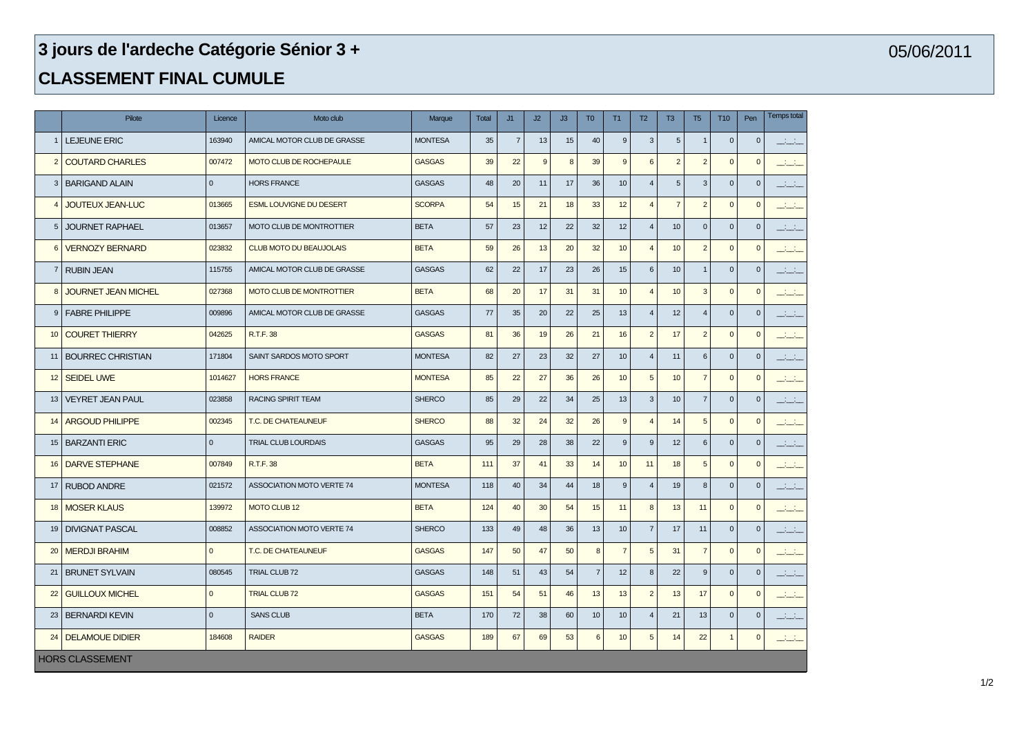## **jours de l'ardeche Catégorie Sénior 3 +**

## **CLASSEMENT FINAL CUMULE**

|                        | Pilote                     | Licence      | Moto club                        | Marque         | <b>Total</b> | J1             | J2 | J3 | T <sub>0</sub>   | <b>T1</b>        | T2                        | T <sub>3</sub> | T <sub>5</sub> | T <sub>10</sub> | Pen          | Temps total      |
|------------------------|----------------------------|--------------|----------------------------------|----------------|--------------|----------------|----|----|------------------|------------------|---------------------------|----------------|----------------|-----------------|--------------|------------------|
|                        | LEJEUNE ERIC               | 163940       | AMICAL MOTOR CLUB DE GRASSE      | <b>MONTESA</b> | 35           | $\overline{7}$ | 13 | 15 | 40               | 9                | $\mathbf{3}$              | 5              | $\overline{1}$ | $\mathbf{0}$    | $\mathbf{0}$ | المنافذ          |
| $\overline{2}$         | <b>COUTARD CHARLES</b>     | 007472       | MOTO CLUB DE ROCHEPAULE          | <b>GASGAS</b>  | 39           | 22             | 9  | 8  | 39               | $\overline{9}$   | 6                         | $\overline{2}$ | $\overline{2}$ | $\Omega$        | $\mathbf{0}$ | المنتقب          |
| 3                      | <b>BARIGAND ALAIN</b>      | $\mathbf{0}$ | <b>HORS FRANCE</b>               | <b>GASGAS</b>  | 48           | 20             | 11 | 17 | 36               | 10               | $\overline{4}$            | 5              | 3              | $\mathbf{0}$    | $\mathbf{0}$ | للمنابث          |
| $\overline{4}$         | <b>JOUTEUX JEAN-LUC</b>    | 013665       | <b>ESML LOUVIGNE DU DESERT</b>   | <b>SCORPA</b>  | 54           | 15             | 21 | 18 | 33               | 12               | $\overline{4}$            | $\overline{7}$ | $\overline{2}$ | $\mathbf{0}$    | $\mathbf{0}$ | المنتقب          |
| 5                      | <b>JOURNET RAPHAEL</b>     | 013657       | <b>MOTO CLUB DE MONTROTTIER</b>  | <b>BETA</b>    | 57           | 23             | 12 | 22 | 32               | 12               | $\overline{4}$            | 10             | $\mathbf{0}$   | $\mathbf{0}$    | $\mathbf{0}$ | المنتقل          |
| 6                      | <b>VERNOZY BERNARD</b>     | 023832       | <b>CLUB MOTO DU BEAUJOLAIS</b>   | <b>BETA</b>    | 59           | 26             | 13 | 20 | 32               | 10               | $\overline{4}$            | 10             | $\overline{2}$ | $\mathbf{0}$    | $\mathbf{0}$ | <u> 111 - 11</u> |
| $\overline{7}$         | <b>RUBIN JEAN</b>          | 115755       | AMICAL MOTOR CLUB DE GRASSE      | <b>GASGAS</b>  | 62           | 22             | 17 | 23 | 26               | 15               | $6\phantom{1}$            | 10             | $\overline{1}$ | $\overline{0}$  | $\mathbf{0}$ | $-1 - 1$         |
| 8                      | <b>JOURNET JEAN MICHEL</b> | 027368       | <b>MOTO CLUB DE MONTROTTIER</b>  | <b>BETA</b>    | 68           | 20             | 17 | 31 | 31               | 10               | $\overline{4}$            | 10             | $\mathbf{3}$   | $\Omega$        | $\mathbf{0}$ | المنتشب          |
| 9                      | <b>FABRE PHILIPPE</b>      | 009896       | AMICAL MOTOR CLUB DE GRASSE      | <b>GASGAS</b>  | 77           | 35             | 20 | 22 | 25               | 13               | $\overline{4}$            | 12             | $\overline{A}$ | $\Omega$        | $\mathbf{0}$ | $1 - 1$          |
| 10                     | <b>COURET THIERRY</b>      | 042625       | R.T.F. 38                        | <b>GASGAS</b>  | 81           | 36             | 19 | 26 | 21               | 16               | $\overline{2}$            | 17             | $\overline{2}$ | $\Omega$        | $\mathbf{0}$ | المنافث          |
| 11                     | <b>BOURREC CHRISTIAN</b>   | 171804       | SAINT SARDOS MOTO SPORT          | <b>MONTESA</b> | 82           | 27             | 23 | 32 | 27               | 10 <sup>10</sup> | $\overline{4}$            | 11             | 6              | $\mathbf{0}$    | $\mathbf{0}$ | <u>in 19</u>     |
| 12                     | <b>SEIDEL UWE</b>          | 1014627      | <b>HORS FRANCE</b>               | <b>MONTESA</b> | 85           | 22             | 27 | 36 | 26               | 10               | $\sqrt{5}$                | 10             | $\overline{7}$ | $\overline{0}$  | $\mathbf{0}$ | التفتيت          |
| 13                     | <b>VEYRET JEAN PAUL</b>    | 023858       | RACING SPIRIT TEAM               | <b>SHERCO</b>  | 85           | 29             | 22 | 34 | 25               | 13               | $\ensuremath{\mathsf{3}}$ | 10             | $\overline{7}$ | $\mathbf 0$     | $\mathbf 0$  | المناسب          |
| 14                     | <b>ARGOUD PHILIPPE</b>     | 002345       | T.C. DE CHATEAUNEUF              | <b>SHERCO</b>  | 88           | 32             | 24 | 32 | 26               | 9                | $\overline{4}$            | 14             | 5              | $\mathbf 0$     | $\mathbf 0$  | للقبائب          |
| 15                     | <b>BARZANTI ERIC</b>       | $\mathbf{0}$ | TRIAL CLUB LOURDAIS              | <b>GASGAS</b>  | 95           | 29             | 28 | 38 | 22               | 9                | $9\,$                     | 12             | $\,6\,$        | $\mathbf{0}$    | $\mathbf 0$  | المنتقل          |
| 16                     | <b>DARVE STEPHANE</b>      | 007849       | R.T.F. 38                        | <b>BETA</b>    | 111          | 37             | 41 | 33 | 14               | 10               | 11                        | 18             | 5              | $\overline{0}$  | $\mathbf 0$  | <u> 1910 -</u>   |
| 17                     | <b>RUBOD ANDRE</b>         | 021572       | <b>ASSOCIATION MOTO VERTE 74</b> | <b>MONTESA</b> | 118          | 40             | 34 | 44 | 18               | 9                | $\overline{4}$            | 19             | 8              | $\mathbf{0}$    | $\mathbf 0$  | <u>and</u>       |
| 18                     | <b>MOSER KLAUS</b>         | 139972       | MOTO CLUB 12                     | <b>BETA</b>    | 124          | 40             | 30 | 54 | 15               | 11               | $\boldsymbol{8}$          | 13             | 11             | $\mathbf{0}$    | $\mathbf 0$  | للفليل           |
| 19                     | <b>DIVIGNAT PASCAL</b>     | 008852       | ASSOCIATION MOTO VERTE 74        | <b>SHERCO</b>  | 133          | 49             | 48 | 36 | 13               | 10               | $\overline{7}$            | 17             | 11             | $\mathbf 0$     | $\mathbf{0}$ | ستشن             |
| 20                     | <b>MERDJI BRAHIM</b>       | $\mathbf{0}$ | T.C. DE CHATEAUNEUF              | <b>GASGAS</b>  | 147          | 50             | 47 | 50 | $\boldsymbol{8}$ | $\overline{7}$   | $5\phantom{.0}$           | 31             | $\overline{7}$ | $\mathbf{0}$    | $\mathbf{0}$ | التفتيت          |
| 21                     | <b>BRUNET SYLVAIN</b>      | 080545       | <b>TRIAL CLUB 72</b>             | <b>GASGAS</b>  | 148          | 51             | 43 | 54 | $\overline{7}$   | 12               | $\boldsymbol{8}$          | 22             | 9              | $\overline{0}$  | $\mathbf{0}$ | المنافث          |
| 22                     | <b>GUILLOUX MICHEL</b>     | $\mathbf{0}$ | <b>TRIAL CLUB 72</b>             | <b>GASGAS</b>  | 151          | 54             | 51 | 46 | 13               | 13               | $\overline{2}$            | 13             | 17             | $\mathbf{0}$    | $\mathbf 0$  | للقبائب          |
| 23                     | <b>BERNARDI KEVIN</b>      | $\mathbf{0}$ | <b>SANS CLUB</b>                 | <b>BETA</b>    | 170          | 72             | 38 | 60 | 10 <sup>10</sup> | 10               | $\overline{4}$            | 21             | 13             | $\mathbf{0}$    | $\mathbf{0}$ | المنتقب          |
| 24                     | <b>DELAMOUE DIDIER</b>     | 184608       | <b>RAIDER</b>                    | <b>GASGAS</b>  | 189          | 67             | 69 | 53 | 6                | 10               | 5                         | 14             | 22             | $\mathbf{1}$    | $\mathbf 0$  | المنافض          |
| <b>HORS CLASSEMENT</b> |                            |              |                                  |                |              |                |    |    |                  |                  |                           |                |                |                 |              |                  |